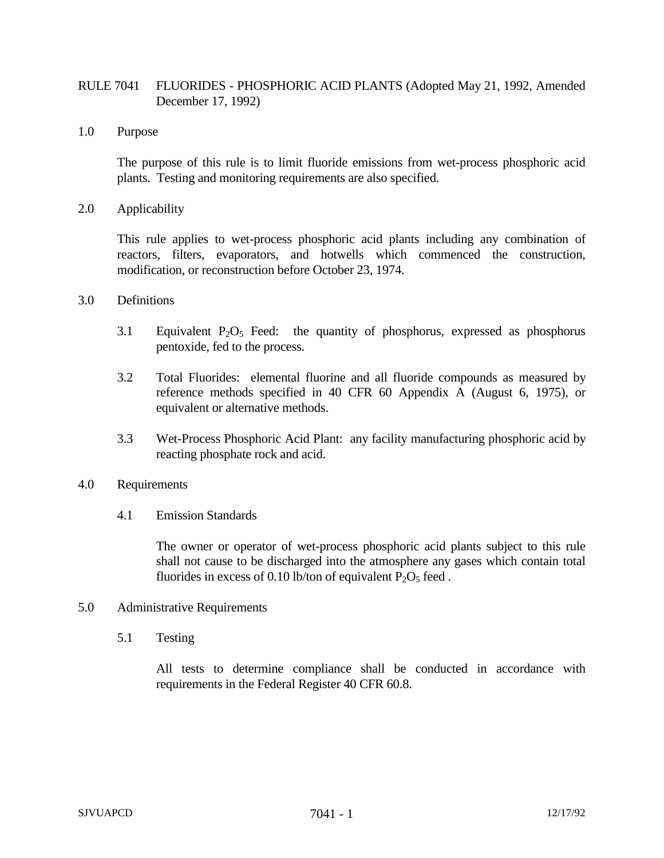## RULE 7041 FLUORIDES - PHOSPHORIC ACID PLANTS (Adopted May 21, 1992, Amended December 17, 1992)

1.0 Purpose

The purpose of this rule is to limit fluoride emissions from wet-process phosphoric acid plants. Testing and monitoring requirements are also specified.

2.0 Applicability

This rule applies to wet-process phosphoric acid plants including any combination of reactors, filters, evaporators, and hotwells which commenced the construction, modification, or reconstruction before October 23, 1974.

- 3.0 Definitions
	- 3.1 Equivalent  $P_2O_5$  Feed: the quantity of phosphorus, expressed as phosphorus pentoxide, fed to the process.
	- 3.2 Total Fluorides: elemental fluorine and all fluoride compounds as measured by reference methods specified in 40 CFR 60 Appendix A (August 6, 1975), or equivalent or alternative methods.
	- 3.3 Wet-Process Phosphoric Acid Plant: any facility manufacturing phosphoric acid by reacting phosphate rock and acid.
- 4.0 Requirements
	- 4.1 Emission Standards

The owner or operator of wet-process phosphoric acid plants subject to this rule shall not cause to be discharged into the atmosphere any gases which contain total fluorides in excess of 0.10 lb/ton of equivalent  $P_2O_5$  feed.

- 5.0 Administrative Requirements
	- 5.1 Testing

All tests to determine compliance shall be conducted in accordance with requirements in the Federal Register 40 CFR 60.8.